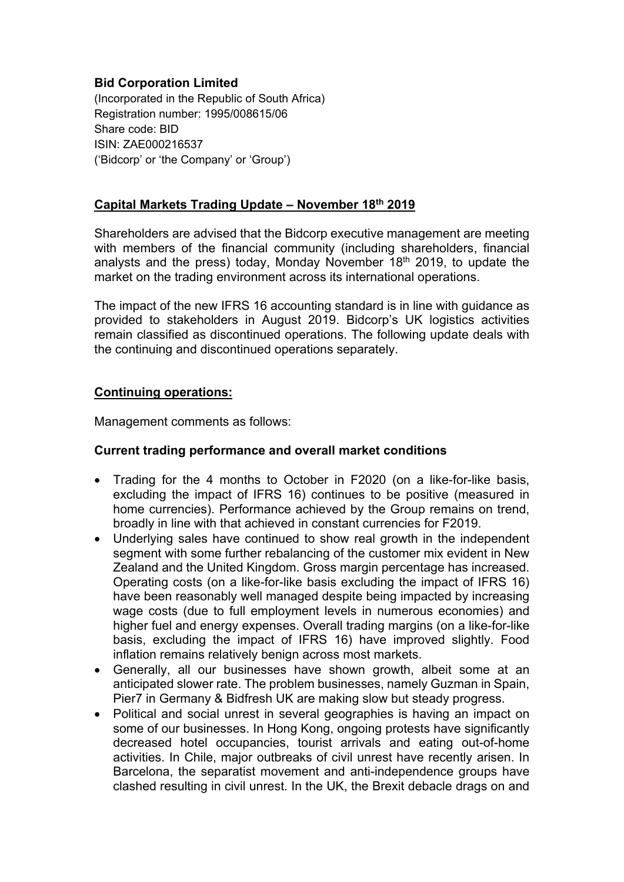### **Bid Corporation Limited**

(Incorporated in the Republic of South Africa) Registration number: 1995/008615/06 Share code: BID ISIN: ZAE000216537 ('Bidcorp' or 'the Company' or 'Group')

### **Capital Markets Trading Update – November 18th 2019**

Shareholders are advised that the Bidcorp executive management are meeting with members of the financial community (including shareholders, financial analysts and the press) today, Monday November  $18<sup>th</sup>$  2019, to update the market on the trading environment across its international operations.

The impact of the new IFRS 16 accounting standard is in line with guidance as provided to stakeholders in August 2019. Bidcorp's UK logistics activities remain classified as discontinued operations. The following update deals with the continuing and discontinued operations separately.

### **Continuing operations:**

Management comments as follows:

### **Current trading performance and overall market conditions**

- Trading for the 4 months to October in F2020 (on a like-for-like basis, excluding the impact of IFRS 16) continues to be positive (measured in home currencies). Performance achieved by the Group remains on trend, broadly in line with that achieved in constant currencies for F2019.
- Underlying sales have continued to show real growth in the independent segment with some further rebalancing of the customer mix evident in New Zealand and the United Kingdom. Gross margin percentage has increased. Operating costs (on a like-for-like basis excluding the impact of IFRS 16) have been reasonably well managed despite being impacted by increasing wage costs (due to full employment levels in numerous economies) and higher fuel and energy expenses. Overall trading margins (on a like-for-like basis, excluding the impact of IFRS 16) have improved slightly. Food inflation remains relatively benign across most markets.
- Generally, all our businesses have shown growth, albeit some at an anticipated slower rate. The problem businesses, namely Guzman in Spain, Pier7 in Germany & Bidfresh UK are making slow but steady progress.
- Political and social unrest in several geographies is having an impact on some of our businesses. In Hong Kong, ongoing protests have significantly decreased hotel occupancies, tourist arrivals and eating out-of-home activities. In Chile, major outbreaks of civil unrest have recently arisen. In Barcelona, the separatist movement and anti-independence groups have clashed resulting in civil unrest. In the UK, the Brexit debacle drags on and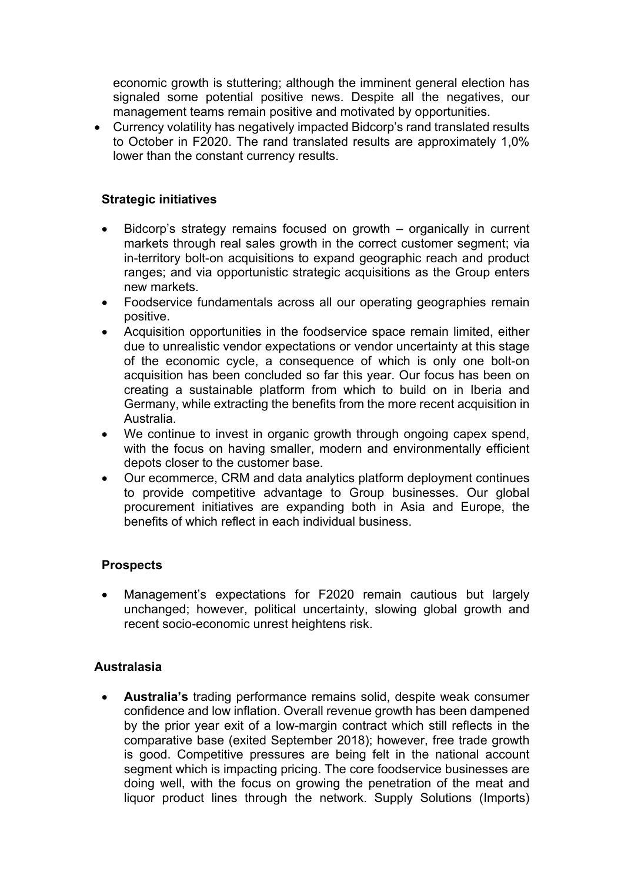economic growth is stuttering; although the imminent general election has signaled some potential positive news. Despite all the negatives, our management teams remain positive and motivated by opportunities.

 Currency volatility has negatively impacted Bidcorp's rand translated results to October in F2020. The rand translated results are approximately 1,0% lower than the constant currency results.

### **Strategic initiatives**

- Bidcorp's strategy remains focused on growth organically in current markets through real sales growth in the correct customer segment; via in-territory bolt-on acquisitions to expand geographic reach and product ranges; and via opportunistic strategic acquisitions as the Group enters new markets.
- Foodservice fundamentals across all our operating geographies remain positive.
- Acquisition opportunities in the foodservice space remain limited, either due to unrealistic vendor expectations or vendor uncertainty at this stage of the economic cycle, a consequence of which is only one bolt-on acquisition has been concluded so far this year. Our focus has been on creating a sustainable platform from which to build on in Iberia and Germany, while extracting the benefits from the more recent acquisition in Australia.
- We continue to invest in organic growth through ongoing capex spend, with the focus on having smaller, modern and environmentally efficient depots closer to the customer base.
- Our ecommerce, CRM and data analytics platform deployment continues to provide competitive advantage to Group businesses. Our global procurement initiatives are expanding both in Asia and Europe, the benefits of which reflect in each individual business.

# **Prospects**

 Management's expectations for F2020 remain cautious but largely unchanged; however, political uncertainty, slowing global growth and recent socio-economic unrest heightens risk.

### **Australasia**

 **Australia's** trading performance remains solid, despite weak consumer confidence and low inflation. Overall revenue growth has been dampened by the prior year exit of a low-margin contract which still reflects in the comparative base (exited September 2018); however, free trade growth is good. Competitive pressures are being felt in the national account segment which is impacting pricing. The core foodservice businesses are doing well, with the focus on growing the penetration of the meat and liquor product lines through the network. Supply Solutions (Imports)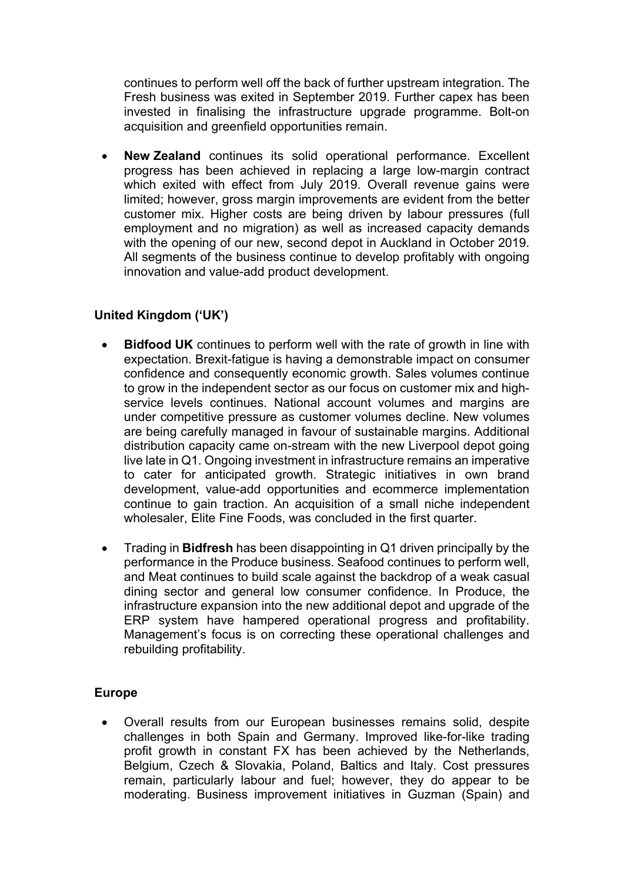continues to perform well off the back of further upstream integration. The Fresh business was exited in September 2019. Further capex has been invested in finalising the infrastructure upgrade programme. Bolt-on acquisition and greenfield opportunities remain.

 **New Zealand** continues its solid operational performance. Excellent progress has been achieved in replacing a large low-margin contract which exited with effect from July 2019. Overall revenue gains were limited; however, gross margin improvements are evident from the better customer mix. Higher costs are being driven by labour pressures (full employment and no migration) as well as increased capacity demands with the opening of our new, second depot in Auckland in October 2019. All segments of the business continue to develop profitably with ongoing innovation and value-add product development.

# **United Kingdom ('UK')**

- **Bidfood UK** continues to perform well with the rate of growth in line with expectation. Brexit-fatigue is having a demonstrable impact on consumer confidence and consequently economic growth. Sales volumes continue to grow in the independent sector as our focus on customer mix and highservice levels continues. National account volumes and margins are under competitive pressure as customer volumes decline. New volumes are being carefully managed in favour of sustainable margins. Additional distribution capacity came on-stream with the new Liverpool depot going live late in Q1. Ongoing investment in infrastructure remains an imperative to cater for anticipated growth. Strategic initiatives in own brand development, value-add opportunities and ecommerce implementation continue to gain traction. An acquisition of a small niche independent wholesaler, Elite Fine Foods, was concluded in the first quarter.
- Trading in **Bidfresh** has been disappointing in Q1 driven principally by the performance in the Produce business. Seafood continues to perform well, and Meat continues to build scale against the backdrop of a weak casual dining sector and general low consumer confidence. In Produce, the infrastructure expansion into the new additional depot and upgrade of the ERP system have hampered operational progress and profitability. Management's focus is on correcting these operational challenges and rebuilding profitability.

# **Europe**

 Overall results from our European businesses remains solid, despite challenges in both Spain and Germany. Improved like-for-like trading profit growth in constant FX has been achieved by the Netherlands, Belgium, Czech & Slovakia, Poland, Baltics and Italy. Cost pressures remain, particularly labour and fuel; however, they do appear to be moderating. Business improvement initiatives in Guzman (Spain) and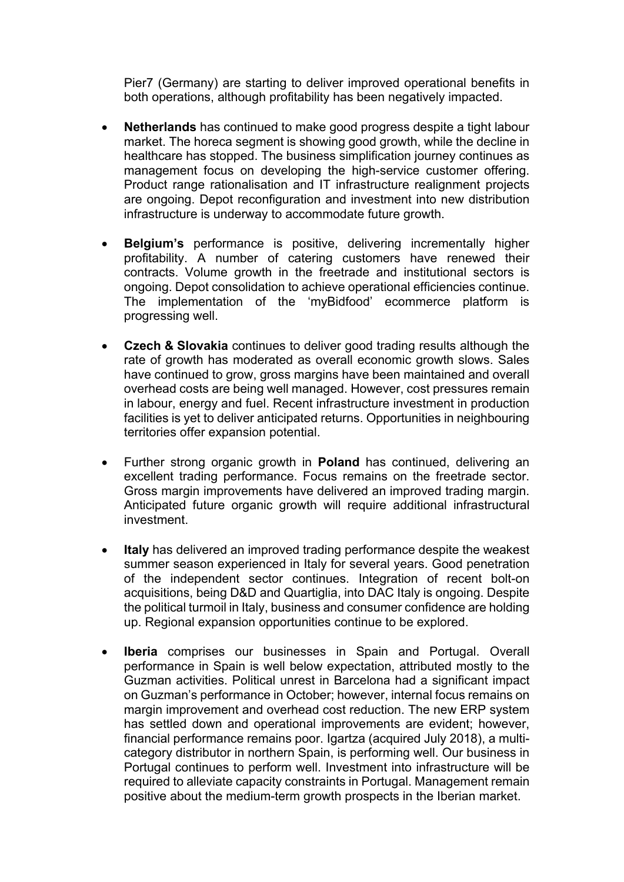Pier7 (Germany) are starting to deliver improved operational benefits in both operations, although profitability has been negatively impacted.

- **Netherlands** has continued to make good progress despite a tight labour market. The horeca segment is showing good growth, while the decline in healthcare has stopped. The business simplification journey continues as management focus on developing the high-service customer offering. Product range rationalisation and IT infrastructure realignment projects are ongoing. Depot reconfiguration and investment into new distribution infrastructure is underway to accommodate future growth.
- **Belgium's** performance is positive, delivering incrementally higher profitability. A number of catering customers have renewed their contracts. Volume growth in the freetrade and institutional sectors is ongoing. Depot consolidation to achieve operational efficiencies continue. The implementation of the 'myBidfood' ecommerce platform is progressing well.
- **Czech & Slovakia** continues to deliver good trading results although the rate of growth has moderated as overall economic growth slows. Sales have continued to grow, gross margins have been maintained and overall overhead costs are being well managed. However, cost pressures remain in labour, energy and fuel. Recent infrastructure investment in production facilities is yet to deliver anticipated returns. Opportunities in neighbouring territories offer expansion potential.
- Further strong organic growth in **Poland** has continued, delivering an excellent trading performance. Focus remains on the freetrade sector. Gross margin improvements have delivered an improved trading margin. Anticipated future organic growth will require additional infrastructural investment.
- **Italy** has delivered an improved trading performance despite the weakest summer season experienced in Italy for several years. Good penetration of the independent sector continues. Integration of recent bolt-on acquisitions, being D&D and Quartiglia, into DAC Italy is ongoing. Despite the political turmoil in Italy, business and consumer confidence are holding up. Regional expansion opportunities continue to be explored.
- **Iberia** comprises our businesses in Spain and Portugal. Overall performance in Spain is well below expectation, attributed mostly to the Guzman activities. Political unrest in Barcelona had a significant impact on Guzman's performance in October; however, internal focus remains on margin improvement and overhead cost reduction. The new ERP system has settled down and operational improvements are evident; however, financial performance remains poor. Igartza (acquired July 2018), a multicategory distributor in northern Spain, is performing well. Our business in Portugal continues to perform well. Investment into infrastructure will be required to alleviate capacity constraints in Portugal. Management remain positive about the medium-term growth prospects in the Iberian market.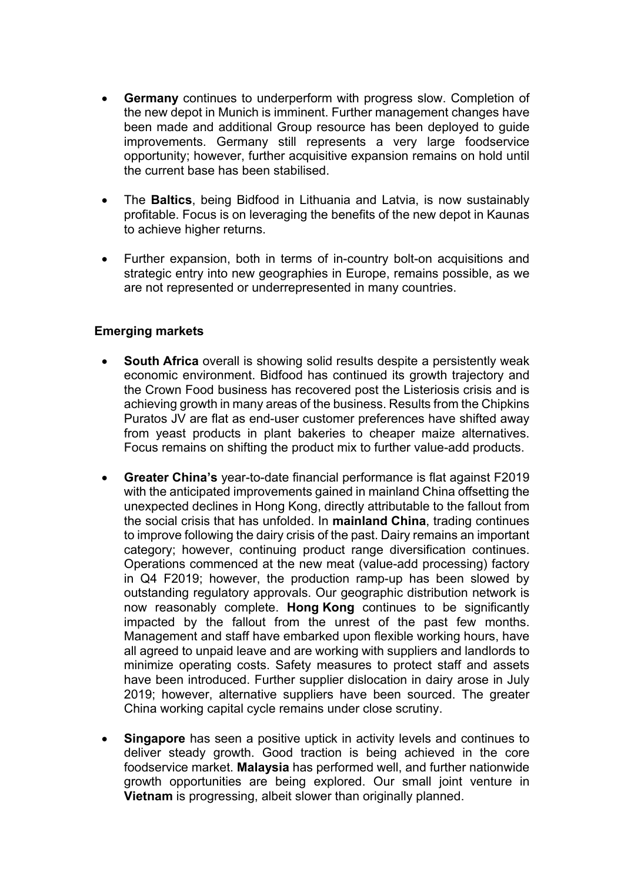- **Germany** continues to underperform with progress slow. Completion of the new depot in Munich is imminent. Further management changes have been made and additional Group resource has been deployed to guide improvements. Germany still represents a very large foodservice opportunity; however, further acquisitive expansion remains on hold until the current base has been stabilised.
- The **Baltics**, being Bidfood in Lithuania and Latvia, is now sustainably profitable. Focus is on leveraging the benefits of the new depot in Kaunas to achieve higher returns.
- Further expansion, both in terms of in-country bolt-on acquisitions and strategic entry into new geographies in Europe, remains possible, as we are not represented or underrepresented in many countries.

### **Emerging markets**

- **South Africa** overall is showing solid results despite a persistently weak economic environment. Bidfood has continued its growth trajectory and the Crown Food business has recovered post the Listeriosis crisis and is achieving growth in many areas of the business. Results from the Chipkins Puratos JV are flat as end-user customer preferences have shifted away from yeast products in plant bakeries to cheaper maize alternatives. Focus remains on shifting the product mix to further value-add products.
- **Greater China's** year-to-date financial performance is flat against F2019 with the anticipated improvements gained in mainland China offsetting the unexpected declines in Hong Kong, directly attributable to the fallout from the social crisis that has unfolded. In **mainland China**, trading continues to improve following the dairy crisis of the past. Dairy remains an important category; however, continuing product range diversification continues. Operations commenced at the new meat (value-add processing) factory in Q4 F2019; however, the production ramp-up has been slowed by outstanding regulatory approvals. Our geographic distribution network is now reasonably complete. **Hong Kong** continues to be significantly impacted by the fallout from the unrest of the past few months. Management and staff have embarked upon flexible working hours, have all agreed to unpaid leave and are working with suppliers and landlords to minimize operating costs. Safety measures to protect staff and assets have been introduced. Further supplier dislocation in dairy arose in July 2019; however, alternative suppliers have been sourced. The greater China working capital cycle remains under close scrutiny.
- **Singapore** has seen a positive uptick in activity levels and continues to deliver steady growth. Good traction is being achieved in the core foodservice market. **Malaysia** has performed well, and further nationwide growth opportunities are being explored. Our small joint venture in **Vietnam** is progressing, albeit slower than originally planned.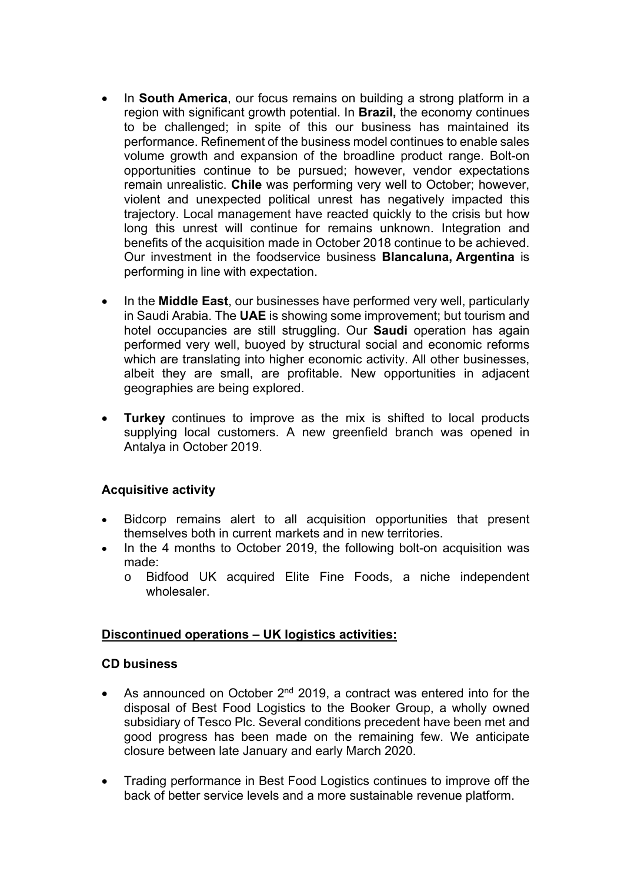- In **South America**, our focus remains on building a strong platform in a region with significant growth potential. In **Brazil,** the economy continues to be challenged; in spite of this our business has maintained its performance. Refinement of the business model continues to enable sales volume growth and expansion of the broadline product range. Bolt-on opportunities continue to be pursued; however, vendor expectations remain unrealistic. **Chile** was performing very well to October; however, violent and unexpected political unrest has negatively impacted this trajectory. Local management have reacted quickly to the crisis but how long this unrest will continue for remains unknown. Integration and benefits of the acquisition made in October 2018 continue to be achieved. Our investment in the foodservice business **Blancaluna, Argentina** is performing in line with expectation.
- In the **Middle East**, our businesses have performed very well, particularly in Saudi Arabia. The **UAE** is showing some improvement; but tourism and hotel occupancies are still struggling. Our **Saudi** operation has again performed very well, buoyed by structural social and economic reforms which are translating into higher economic activity. All other businesses, albeit they are small, are profitable. New opportunities in adjacent geographies are being explored.
- **Turkey** continues to improve as the mix is shifted to local products supplying local customers. A new greenfield branch was opened in Antalya in October 2019.

### **Acquisitive activity**

- Bidcorp remains alert to all acquisition opportunities that present themselves both in current markets and in new territories.
- In the 4 months to October 2019, the following bolt-on acquisition was made:
	- o Bidfood UK acquired Elite Fine Foods, a niche independent wholesaler.

### **Discontinued operations – UK logistics activities:**

### **CD business**

- As announced on October 2<sup>nd</sup> 2019, a contract was entered into for the disposal of Best Food Logistics to the Booker Group, a wholly owned subsidiary of Tesco Plc. Several conditions precedent have been met and good progress has been made on the remaining few. We anticipate closure between late January and early March 2020.
- Trading performance in Best Food Logistics continues to improve off the back of better service levels and a more sustainable revenue platform.